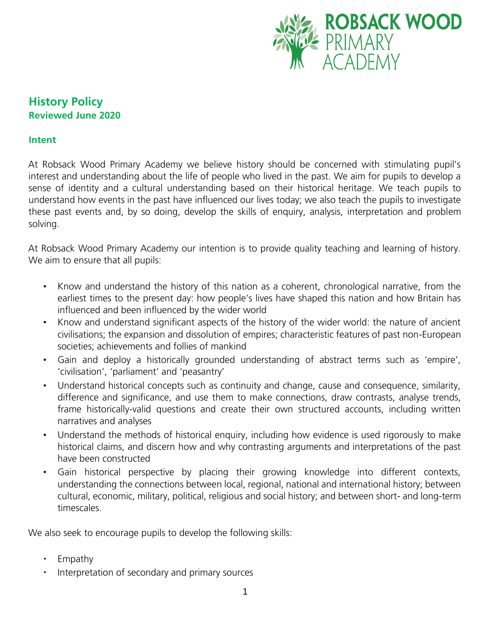

# **History Policy Reviewed June 2020**

### **Intent**

At Robsack Wood Primary Academy we believe history should be concerned with stimulating pupil's interest and understanding about the life of people who lived in the past. We aim for pupils to develop a sense of identity and a cultural understanding based on their historical heritage. We teach pupils to understand how events in the past have influenced our lives today; we also teach the pupils to investigate these past events and, by so doing, develop the skills of enquiry, analysis, interpretation and problem solving.

At Robsack Wood Primary Academy our intention is to provide quality teaching and learning of history. We aim to ensure that all pupils:

- Know and understand the history of this nation as a coherent, chronological narrative, from the earliest times to the present day: how people's lives have shaped this nation and how Britain has influenced and been influenced by the wider world
- Know and understand significant aspects of the history of the wider world: the nature of ancient civilisations; the expansion and dissolution of empires; characteristic features of past non-European societies; achievements and follies of mankind
- Gain and deploy a historically grounded understanding of abstract terms such as 'empire', 'civilisation', 'parliament' and 'peasantry'
- Understand historical concepts such as continuity and change, cause and consequence, similarity, difference and significance, and use them to make connections, draw contrasts, analyse trends, frame historically-valid questions and create their own structured accounts, including written narratives and analyses
- Understand the methods of historical enquiry, including how evidence is used rigorously to make historical claims, and discern how and why contrasting arguments and interpretations of the past have been constructed
- Gain historical perspective by placing their growing knowledge into different contexts, understanding the connections between local, regional, national and international history; between cultural, economic, military, political, religious and social history; and between short- and long-term timescales.

We also seek to encourage pupils to develop the following skills:

- Empathy
- Interpretation of secondary and primary sources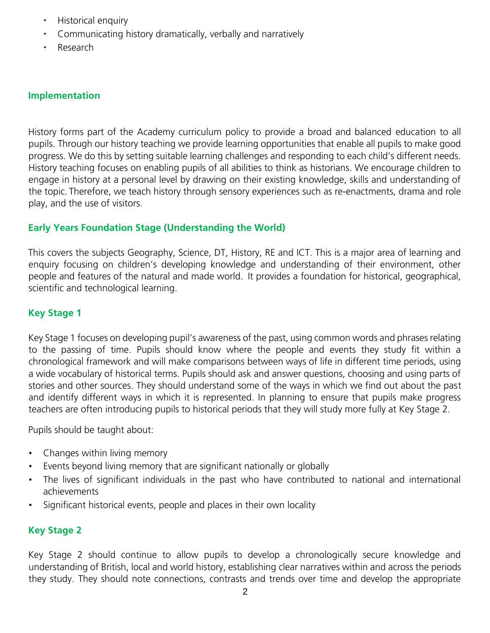- Historical enquiry
- Communicating history dramatically, verbally and narratively
- Research

### **Implementation**

History forms part of the Academy curriculum policy to provide a broad and balanced education to all pupils. Through our history teaching we provide learning opportunities that enable all pupils to make good progress. We do this by setting suitable learning challenges and responding to each child's different needs. History teaching focuses on enabling pupils of all abilities to think as historians. We encourage children to engage in history at a personal level by drawing on their existing knowledge, skills and understanding of the topic. Therefore, we teach history through sensory experiences such as re-enactments, drama and role play, and the use of visitors.

### **Early Years Foundation Stage (Understanding the World)**

This covers the subjects Geography, Science, DT, History, RE and ICT. This is a major area of learning and enquiry focusing on children's developing knowledge and understanding of their environment, other people and features of the natural and made world. It provides a foundation for historical, geographical, scientific and technological learning.

### **Key Stage 1**

Key Stage 1 focuses on developing pupil's awareness of the past, using common words and phrases relating to the passing of time. Pupils should know where the people and events they study fit within a chronological framework and will make comparisons between ways of life in different time periods, using a wide vocabulary of historical terms. Pupils should ask and answer questions, choosing and using parts of stories and other sources. They should understand some of the ways in which we find out about the past and identify different ways in which it is represented. In planning to ensure that pupils make progress teachers are often introducing pupils to historical periods that they will study more fully at Key Stage 2.

Pupils should be taught about:

- Changes within living memory
- Events beyond living memory that are significant nationally or globally
- The lives of significant individuals in the past who have contributed to national and international achievements
- Significant historical events, people and places in their own locality

#### **Key Stage 2**

Key Stage 2 should continue to allow pupils to develop a chronologically secure knowledge and understanding of British, local and world history, establishing clear narratives within and across the periods they study. They should note connections, contrasts and trends over time and develop the appropriate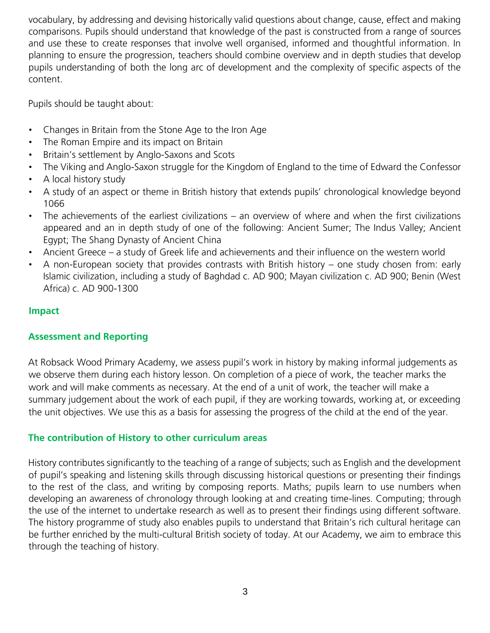vocabulary, by addressing and devising historically valid questions about change, cause, effect and making comparisons. Pupils should understand that knowledge of the past is constructed from a range of sources and use these to create responses that involve well organised, informed and thoughtful information. In planning to ensure the progression, teachers should combine overview and in depth studies that develop pupils understanding of both the long arc of development and the complexity of specific aspects of the content.

Pupils should be taught about:

- Changes in Britain from the Stone Age to the Iron Age
- The Roman Empire and its impact on Britain
- Britain's settlement by Anglo-Saxons and Scots
- The Viking and Anglo-Saxon struggle for the Kingdom of England to the time of Edward the Confessor
- A local history study
- A study of an aspect or theme in British history that extends pupils' chronological knowledge beyond 1066
- The achievements of the earliest civilizations an overview of where and when the first civilizations appeared and an in depth study of one of the following: Ancient Sumer; The Indus Valley; Ancient Egypt; The Shang Dynasty of Ancient China
- Ancient Greece a study of Greek life and achievements and their influence on the western world
- A non-European society that provides contrasts with British history one study chosen from: early Islamic civilization, including a study of Baghdad c. AD 900; Mayan civilization c. AD 900; Benin (West Africa) c. AD 900-1300

## **Impact**

## **Assessment and Reporting**

At Robsack Wood Primary Academy, we assess pupil's work in history by making informal judgements as we observe them during each history lesson. On completion of a piece of work, the teacher marks the work and will make comments as necessary. At the end of a unit of work, the teacher will make a summary judgement about the work of each pupil, if they are working towards, working at, or exceeding the unit objectives. We use this as a basis for assessing the progress of the child at the end of the year.

## **The contribution of History to other curriculum areas**

History contributes significantly to the teaching of a range of subjects; such as English and the development of pupil's speaking and listening skills through discussing historical questions or presenting their findings to the rest of the class, and writing by composing reports. Maths; pupils learn to use numbers when developing an awareness of chronology through looking at and creating time-lines. Computing; through the use of the internet to undertake research as well as to present their findings using different software. The history programme of study also enables pupils to understand that Britain's rich cultural heritage can be further enriched by the multi-cultural British society of today. At our Academy, we aim to embrace this through the teaching of history.